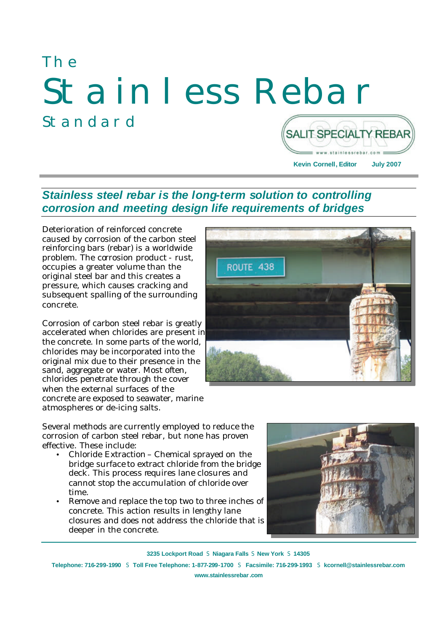# The Stainless Rebar Standard **SALIT SPECIALTY REBAR**

**Kevin Cornell, Editor July 2007**

w.stainlessrehar.co

# *Stainless steel rebar is the long-term solution to controlling corrosion and meeting design life requirements of bridges*

Deterioration of reinforced concrete caused by corrosion of the carbon steel reinforcing bars (rebar) is a worldwide problem. The corrosion product - rust, occupies a greater volume than the original steel bar and this creates a pressure, which causes cracking and subsequent spalling of the surrounding concrete.

Corrosion of carbon steel rebar is greatly accelerated when chlorides are present in the concrete. In some parts of the world, chlorides may be incorporated into the original mix due to their presence in the sand, aggregate or water. Most often, chlorides penetrate through the cover when the external surfaces of the concrete are exposed to seawater, marine atmospheres or de-icing salts.



Several methods are currently employed to reduce the corrosion of carbon steel rebar, but none has proven effective. These include:

- Chloride Extraction Chemical sprayed on the bridge surface to extract chloride from the bridge deck. This process requires lane closures and cannot stop the accumulation of chloride over time.
- Remove and replace the top two to three inches of concrete. This action results in lengthy lane closures and does not address the chloride that is deeper in the concrete.



**3235 Lockport Road** S **Niagara Falls** S **New York** S **14305**

**Telephone: 716-299-1990** S **Toll Free Telephone: 1-877-299-1700** S **Facsimile: 716-299-1993** S **kcornell@stainlessrebar.com**

**www.stainlessrebar.com**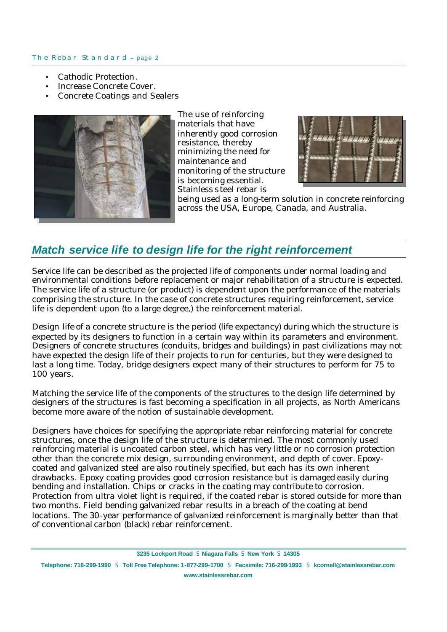- Cathodic Protection.
- Increase Concrete Cover.
- Concrete Coatings and Sealers



The use of reinforcing materials that have inherently good corrosion resistance, thereby minimizing the need for maintenance and monitoring of the structure is becoming essential. Stainless steel rebar is



being used as a long-term solution in concrete reinforcing across the USA, Europe, Canada, and Australia.

# *Match service life to design life for the right reinforcement*

Service life can be described as the projected life of components under normal loading and environmental conditions before replacement or major rehabilitation of a structure is expected. The service life of a structure (or product) is dependent upon the performance of the materials comprising the structure. In the case of concrete structures requiring reinforcement, service life is dependent upon (to a large degree,) the reinforcement material.

Design life of a concrete structure is the period (life expectancy) during which the structure is expected by its designers to function in a certain way within its parameters and environment. Designers of concrete structures (conduits, bridges and buildings) in past civilizations may not have expected the design life of their projects to run for centuries, but they were designed to last a long time. Today, bridge designers expect many of their structures to perform for 75 to 100 years.

Matching the service life of the components of the structures to the design life determined by designers of the structures is fast becoming a specification in all projects, as North Americans become more aware of the notion of sustainable development.

Designers have choices for specifying the appropriate rebar reinforcing material for concrete structures, once the design life of the structure is determined. The most commonly used reinforcing material is uncoated carbon steel, which has very little or no corrosion protection other than the concrete mix design, surrounding environment, and depth of cover. Epoxycoated and galvanized steel are also routinely specified, but each has its own inherent drawbacks. Epoxy coating provides good corrosion resistance but is damaged easily during bending and installation. Chips or cracks in the coating may contribute to corrosion. Protection from ultra violet light is required, if the coated rebar is stored outside for more than two months. Field bending galvanized rebar results in a breach of the coating at bend locations. The 30-year performance of galvanized reinforcement is marginally better than that of conventional carbon (black) rebar reinforcement.

**3235 Lockport Road** S **Niagara Falls** S **New York** S **14305**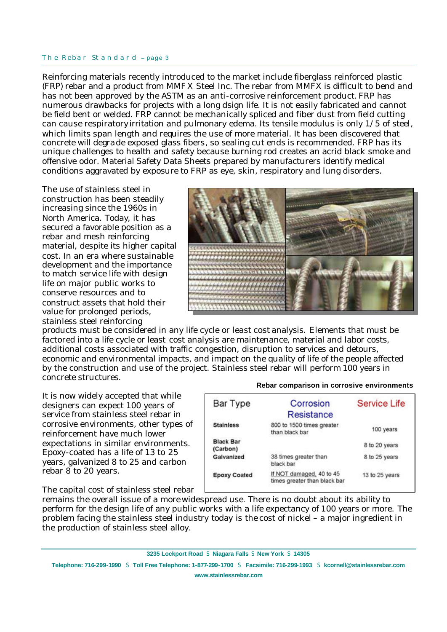Reinforcing materials recently introduced to the market include fiberglass reinforced plastic (FRP) rebar and a product from MMFX Steel Inc. The rebar from MMFX is difficult to bend and has not been approved by the ASTM as an anti-corrosive reinforcement product. FRP has numerous drawbacks for projects with a long dsign life. It is not easily fabricated and cannot be field bent or welded. FRP cannot be mechanically spliced and fiber dust from field cutting can cause respiratory irritation and pulmonary edema. Its tensile modulus is only 1/5 of steel, which limits span length and requires the use of more material. It has been discovered that concrete will degrade exposed glass fibers, so sealing cut ends is recommended. FRP has its unique challenges to health and safety because burning rod creates an acrid black smoke and offensive odor. Material Safety Data Sheets prepared by manufacturers identify medical conditions aggravated by exposure to FRP as eye, skin, respiratory and lung disorders.

The use of stainless steel in construction has been steadily increasing since the 1960s in North America. Today, it has secured a favorable position as a rebar and mesh reinforcing material, despite its higher capital cost. In an era where sustainable development and the importance to match service life with design life on major public works to conserve resources and to construct assets that hold their value for prolonged periods, stainless steel reinforcing



products must be considered in any life cycle or least cost analysis. Elements that must be factored into a life cycle or least cost analysis are maintenance, material and labor costs, additional costs associated with traffic congestion, disruption to services and detours, economic and environmental impacts, and impact on the quality of life of the people affected by the construction and use of the project. Stainless steel rebar will perform 100 years in concrete structures.

It is now widely accepted that while designers can expect 100 years of service from stainless steel rebar in corrosive environments, other types of reinforcement have much lower expectations in similar environments. Epoxy-coated has a life of 13 to 25 years, galvanized 8 to 25 and carbon rebar 8 to 20 years.

The capital cost of stainless steel rebar

#### **Rebar comparison in corrosive environments**

| Bar Type                     | Corrosion                                                | <b>Service Life</b> |
|------------------------------|----------------------------------------------------------|---------------------|
|                              | Resistance                                               |                     |
| <b>Stainless</b>             | 800 to 1500 times greater<br>than black bar              | 100 years           |
| <b>Black Bar</b><br>(Carbon) |                                                          | 8 to 20 years       |
| Galvanized                   | 38 times greater than<br>black bar                       | 8 to 25 years       |
| <b>Epoxy Coated</b>          | If NOT damaged, 40 to 45<br>times greater than black bar | 13 to 25 years      |

remains the overall issue of a more widespread use. There is no doubt about its ability to perform for the design life of any public works with a life expectancy of 100 years or more. The problem facing the stainless steel industry today is the cost of nickel – a major ingredient in the production of stainless steel alloy.

**3235 Lockport Road** S **Niagara Falls** S **New York** S **14305**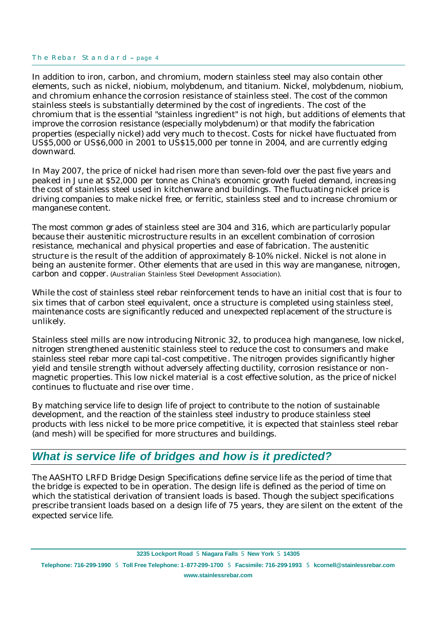In addition to iron, carbon, and chromium, modern stainless steel may also contain other elements, such as nickel, niobium, molybdenum, and titanium. Nickel, molybdenum, niobium, and chromium enhance the corrosion resistance of stainless steel. The cost of the common stainless steels is substantially determined by the cost of ingredients. The cost of the chromium that is the essential "stainless ingredient" is not high, but additions of elements that improve the corrosion resistance (especially molybdenum) or that modify the fabrication properties (especially nickel) add very much to the cost. Costs for nickel have fluctuated from US\$5,000 or US\$6,000 in 2001 to US\$15,000 per tonne in 2004, and are currently edging downward.

In May 2007, the price of nickel had risen more than seven-fold over the past five years and peaked in June at \$52,000 per tonne as China's economic growth fueled demand, increasing the cost of stainless steel used in kitchenware and buildings. The fluctuating nickel price is driving companies to make nickel free, or ferritic, stainless steel and to increase chromium or manganese content.

The most common grades of stainless steel are 304 and 316, which are particularly popular because their austenitic microstructure results in an excellent combination of corrosion resistance, mechanical and physical properties and ease of fabrication. The austenitic structure is the result of the addition of approximately 8-10% nickel. Nickel is not alone in being an austenite former. Other elements that are used in this way are manganese, nitrogen, carbon and copper. (Australian Stainless Steel Development Association).

While the cost of stainless steel rebar reinforcement tends to have an initial cost that is four to six times that of carbon steel equivalent, once a structure is completed using stainless steel, maintenance costs are significantly reduced and unexpected replacement of the structure is unlikely.

Stainless steel mills are now introducing Nitronic 32, to produce a high manganese, low nickel, nitrogen strengthened austenitic stainless steel to reduce the cost to consumers and make stainless steel rebar more capital-cost competitive . The nitrogen provides significantly higher yield and tensile strength without adversely affecting ductility, corrosion resistance or nonmagnetic properties. This low nickel material is a cost effective solution, as the price of nickel continues to fluctuate and rise over time .

By matching service life to design life of project to contribute to the notion of sustainable development, and the reaction of the stainless steel industry to produce stainless steel products with less nickel to be more price competitive, it is expected that stainless steel rebar (and mesh) will be specified for more structures and buildings.

## *What is service life of bridges and how is it predicted?*

The AASHTO LRFD Bridge Design Specifications define service life as the period of time that the bridge is expected to be in operation. The design life is defined as the period of time on which the statistical derivation of transient loads is based. Though the subject specifications prescribe transient loads based on a design life of 75 years, they are silent on the extent of the expected service life.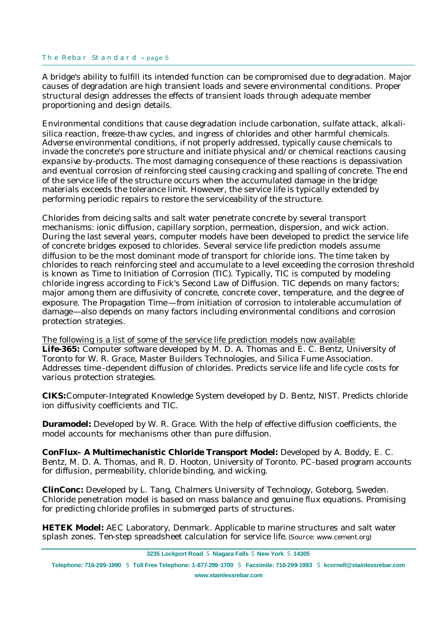A bridge's ability to fulfill its intended function can be compromised due to degradation. Major causes of degradation are high transient loads and severe environmental conditions. Proper structural design addresses the effects of transient loads through adequate member proportioning and design details.

Environmental conditions that cause degradation include carbonation, sulfate attack, alkalisilica reaction, freeze-thaw cycles, and ingress of chlorides and other harmful chemicals. Adverse environmental conditions, if not properly addressed, typically cause chemicals to invade the concrete's pore structure and initiate physical and/or chemical reactions causing expansive by-products. The most damaging consequence of these reactions is depassivation and eventual corrosion of reinforcing steel causing cracking and spalling of concrete. The end of the service life of the structure occurs when the accumulated damage in the bridge materials exceeds the tolerance limit. However, the service life is typically extended by performing periodic repairs to restore the serviceability of the structure.

Chlorides from deicing salts and salt water penetrate concrete by several transport mechanisms: ionic diffusion, capillary sorption, permeation, dispersion, and wick action. During the last several years, computer models have been developed to predict the service life of concrete bridges exposed to chlorides. Several service life prediction models assume diffusion to be the most dominant mode of transport for chloride ions. The time taken by chlorides to reach reinforcing steel and accumulate to a level exceeding the corrosion threshold is known as Time to Initiation of Corrosion (TIC). Typically, TIC is computed by modeling chloride ingress according to Fick's Second Law of Diffusion. TIC depends on many factors; major among them are diffusivity of concrete, concrete cover, temperature, and the degree of exposure. The Propagation Time—from initiation of corrosion to intolerable accumulation of damage—also depends on many factors including environmental conditions and corrosion protection strategies.

The following is a list of some of the service life prediction models now available: **Life-365:** Computer software developed by M. D. A. Thomas and E. C. Bentz, University of Toronto for W. R. Grace, Master Builders Technologies, and Silica Fume Association. Addresses time -dependent diffusion of chlorides. Predicts service life and life cycle costs for various protection strategies.

**CIKS:**Computer-Integrated Knowledge System developed by D. Bentz, NIST. Predicts chloride ion diffusivity coefficients and TIC.

**Duramodel:** Developed by W. R. Grace. With the help of effective diffusion coefficients, the model accounts for mechanisms other than pure diffusion.

**ConFlux– A Multimechanistic Chloride Transport Model:** Developed by A. Boddy, E. C. Bentz, M. D. A. Thomas, and R. D. Hooton, University of Toronto. PC-based program accounts for diffusion, permeability, chloride binding, and wicking.

**ClinConc:** Developed by L. Tang, Chalmers University of Technology, Goteborg, Sweden. Chloride penetration model is based on mass balance and genuine flux equations. Promising for predicting chloride profiles in submerged parts of structures.

**HETEK Model:** AEC Laboratory, Denmark. Applicable to marine structures and salt water splash zones. Ten-step spreadsheet calculation for service life.(Source: www.cement.org)

**3235 Lockport Road** S **Niagara Falls** S **New York** S **14305**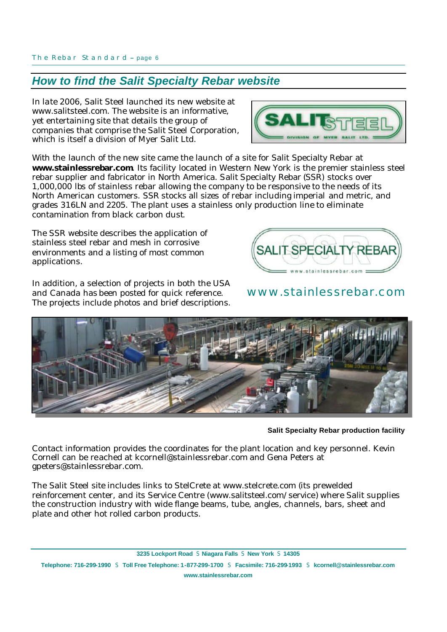# *How to find the Salit Specialty Rebar website*

In late 2006, Salit Steel launched its new website at www.salitsteel.com. The website is an informative, yet entertaining site that details the group of companies that comprise the Salit Steel Corporation, which is itself a division of Myer Salit Ltd.

With the launch of the new site came the launch of a site for Salit Specialty Rebar at **www.stainlessrebar.com**. Its facility located in Western New York is the premier stainless steel rebar supplier and fabricator in North America. Salit Specialty Rebar (SSR) stocks over 1,000,000 lbs of stainless rebar allowing the company to be responsive to the needs of its North American customers. SSR stocks all sizes of rebar including imperial and metric, and grades 316LN and 2205. The plant uses a stainless only production line to eliminate contamination from black carbon dust.

The SSR website describes the application of stainless steel rebar and mesh in corrosive environments and a listing of most common applications.

In addition, a selection of projects in both the USA and Canada has been posted for quick reference. The projects include photos and brief descriptions.

**Salit Specialty Rebar production facility**

Contact information provides the coordinates for the plant location and key personnel. Kevin Cornell can be reached at kcornell@stainlessrebar.com and Gena Peters at gpeters@stainlessrebar.com.

The Salit Steel site includes links to StelCrete at www.stelcrete.com (its prewelded reinforcement center, and its Service Centre (www.salitsteel.com/service) where Salit supplies the construction industry with wide flange beams, tube, angles, channels, bars, sheet and plate and other hot rolled carbon products.

**3235 Lockport Road** S **Niagara Falls** S **New York** S **14305 Telephone: 716-299-1990** S **Toll Free Telephone: 1-877-299-1700** S **Facsimile: 716-299-1993** S **kcornell@stainlessrebar.com www.stainlessrebar.com**



**SALIT SPECIALTY RE** 

# www.stainlessrebar.com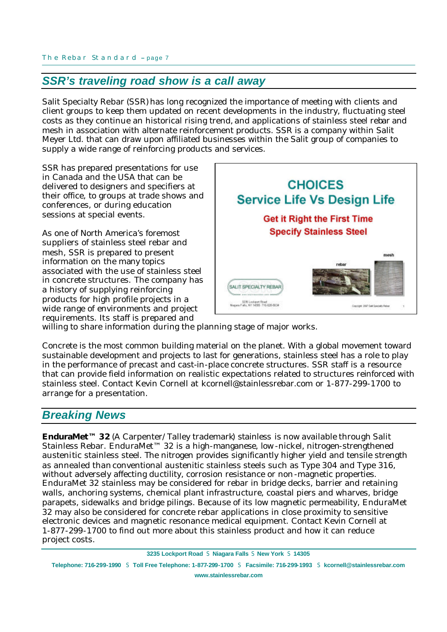## *SSR's traveling road show is a call away*

Salit Specialty Rebar (SSR) has long recognized the importance of meeting with clients and client groups to keep them updated on recent developments in the industry, fluctuating steel costs as they continue an historical rising trend, and applications of stainless steel rebar and mesh in association with alternate reinforcement products. SSR is a company within Salit Meyer Ltd. that can draw upon affiliated businesses within the Salit group of companies to supply a wide range of reinforcing products and services.

SSR has prepared presentations for use in Canada and the USA that can be delivered to designers and specifiers at their office, to groups at trade shows and conferences, or during education sessions at special events.

As one of North America's foremost suppliers of stainless steel rebar and mesh, SSR is prepared to present information on the many topics associated with the use of stainless steel in concrete structures. The company has a history of supplying reinforcing products for high profile projects in a wide range of environments and project requirements. Its staff is prepared and



willing to share information during the planning stage of major works.

Concrete is the most common building material on the planet. With a global movement toward sustainable development and projects to last for generations, stainless steel has a role to play in the performance of precast and cast-in-place concrete structures. SSR staff is a resource that can provide field information on realistic expectations related to structures reinforced with stainless steel. Contact Kevin Cornell at kcornell@stainlessrebar.com or 1-877-299-1700 to arrange for a presentation.

## *Breaking News*

**EnduraMet™ 32** (A Carpenter/Talley trademark) stainless is now available through Salit Stainless Rebar. EnduraMet™ 32 is a high-manganese, low -nickel, nitrogen-strengthened austenitic stainless steel. The nitrogen provides significantly higher yield and tensile strength as annealed than conventional austenitic stainless steels such as Type 304 and Type 316, without adversely affecting ductility, corrosion resistance or non-magnetic properties. EnduraMet 32 stainless may be considered for rebar in bridge decks, barrier and retaining walls, anchoring systems, chemical plant infrastructure, coastal piers and wharves, bridge parapets, sidewalks and bridge pilings. Because of its low magnetic permeability, EnduraMet 32 may also be considered for concrete rebar applications in close proximity to sensitive electronic devices and magnetic resonance medical equipment. Contact Kevin Cornell at 1-877-299-1700 to find out more about this stainless product and how it can reduce project costs.

**3235 Lockport Road** S **Niagara Falls** S **New York** S **14305**